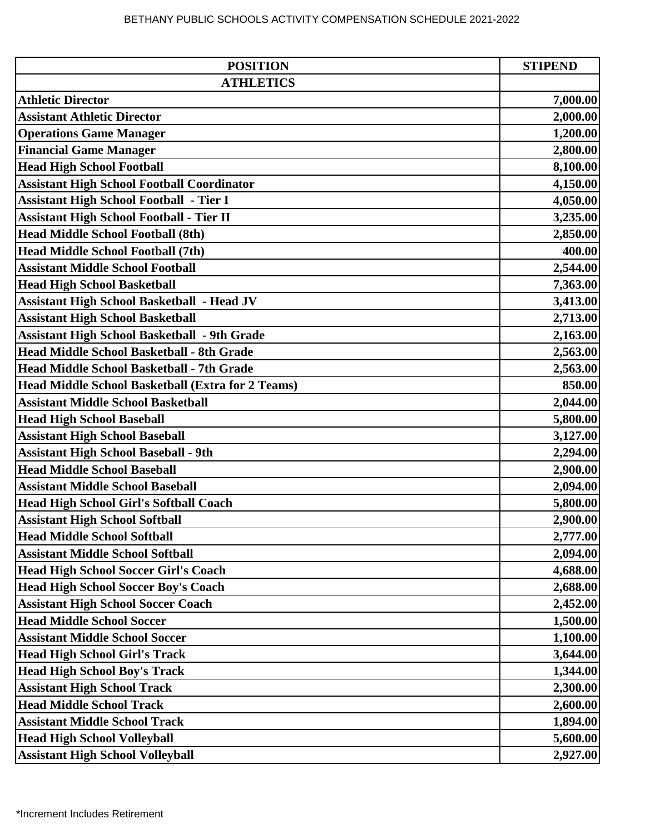| <b>POSITION</b>                                          | <b>STIPEND</b> |
|----------------------------------------------------------|----------------|
| <b>ATHLETICS</b>                                         |                |
| <b>Athletic Director</b>                                 | 7,000.00       |
| <b>Assistant Athletic Director</b>                       | 2,000.00       |
| <b>Operations Game Manager</b>                           | 1,200.00       |
| <b>Financial Game Manager</b>                            | 2,800.00       |
| <b>Head High School Football</b>                         | 8,100.00       |
| <b>Assistant High School Football Coordinator</b>        | 4,150.00       |
| <b>Assistant High School Football - Tier I</b>           | 4,050.00       |
| <b>Assistant High School Football - Tier II</b>          | 3,235.00       |
| <b>Head Middle School Football (8th)</b>                 | 2,850.00       |
| <b>Head Middle School Football (7th)</b>                 | 400.00         |
| <b>Assistant Middle School Football</b>                  | 2,544.00       |
| <b>Head High School Basketball</b>                       | 7,363.00       |
| <b>Assistant High School Basketball - Head JV</b>        | 3,413.00       |
| <b>Assistant High School Basketball</b>                  | 2,713.00       |
| <b>Assistant High School Basketball - 9th Grade</b>      | 2,163.00       |
| Head Middle School Basketball - 8th Grade                | 2,563.00       |
| Head Middle School Basketball - 7th Grade                | 2,563.00       |
| <b>Head Middle School Basketball (Extra for 2 Teams)</b> | 850.00         |
| <b>Assistant Middle School Basketball</b>                | 2,044.00       |
| <b>Head High School Baseball</b>                         | 5,800.00       |
| <b>Assistant High School Baseball</b>                    | 3,127.00       |
| <b>Assistant High School Baseball - 9th</b>              | 2,294.00       |
| <b>Head Middle School Baseball</b>                       | 2,900.00       |
| <b>Assistant Middle School Baseball</b>                  | 2,094.00       |
| <b>Head High School Girl's Softball Coach</b>            | 5,800.00       |
| <b>Assistant High School Softball</b>                    | 2,900.00       |
| <b>Head Middle School Softball</b>                       | 2,777.00       |
| <b>Assistant Middle School Softball</b>                  | 2,094.00       |
| <b>Head High School Soccer Girl's Coach</b>              | 4,688.00       |
| <b>Head High School Soccer Boy's Coach</b>               | 2,688.00       |
| <b>Assistant High School Soccer Coach</b>                | 2,452.00       |
| <b>Head Middle School Soccer</b>                         | 1,500.00       |
| <b>Assistant Middle School Soccer</b>                    | 1,100.00       |
| <b>Head High School Girl's Track</b>                     | 3,644.00       |
| <b>Head High School Boy's Track</b>                      | 1,344.00       |
| <b>Assistant High School Track</b>                       | 2,300.00       |
| <b>Head Middle School Track</b>                          | 2,600.00       |
| <b>Assistant Middle School Track</b>                     | 1,894.00       |
| <b>Head High School Volleyball</b>                       | 5,600.00       |
| <b>Assistant High School Volleyball</b>                  | 2,927.00       |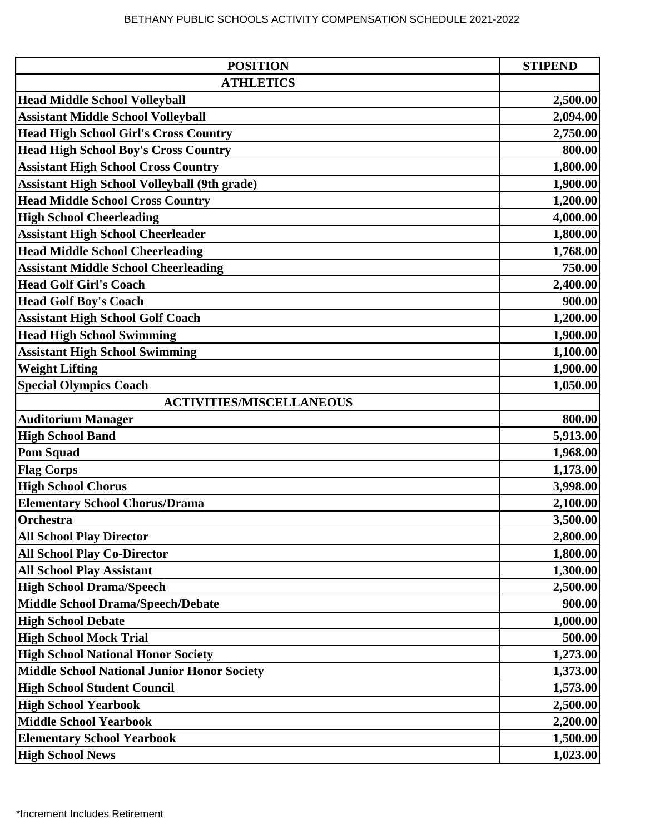| <b>ATHLETICS</b><br><b>Head Middle School Volleyball</b><br><b>Assistant Middle School Volleyball</b><br><b>Head High School Girl's Cross Country</b><br><b>Head High School Boy's Cross Country</b> | 2,500.00<br>2,094.00<br>2,750.00<br>800.00<br>1,800.00<br>1,900.00<br>1,200.00 |
|------------------------------------------------------------------------------------------------------------------------------------------------------------------------------------------------------|--------------------------------------------------------------------------------|
|                                                                                                                                                                                                      |                                                                                |
|                                                                                                                                                                                                      |                                                                                |
|                                                                                                                                                                                                      |                                                                                |
|                                                                                                                                                                                                      |                                                                                |
|                                                                                                                                                                                                      |                                                                                |
| <b>Assistant High School Cross Country</b>                                                                                                                                                           |                                                                                |
| Assistant High School Volleyball (9th grade)                                                                                                                                                         |                                                                                |
| <b>Head Middle School Cross Country</b>                                                                                                                                                              |                                                                                |
| <b>High School Cheerleading</b>                                                                                                                                                                      | 4,000.00                                                                       |
| <b>Assistant High School Cheerleader</b>                                                                                                                                                             | 1,800.00                                                                       |
| <b>Head Middle School Cheerleading</b>                                                                                                                                                               | 1,768.00                                                                       |
| <b>Assistant Middle School Cheerleading</b>                                                                                                                                                          | 750.00                                                                         |
| <b>Head Golf Girl's Coach</b>                                                                                                                                                                        | 2,400.00                                                                       |
| <b>Head Golf Boy's Coach</b>                                                                                                                                                                         | 900.00                                                                         |
| <b>Assistant High School Golf Coach</b>                                                                                                                                                              | 1,200.00                                                                       |
| <b>Head High School Swimming</b>                                                                                                                                                                     | 1,900.00                                                                       |
| <b>Assistant High School Swimming</b>                                                                                                                                                                | 1,100.00                                                                       |
| <b>Weight Lifting</b>                                                                                                                                                                                | 1,900.00                                                                       |
| <b>Special Olympics Coach</b>                                                                                                                                                                        | 1,050.00                                                                       |
| <b>ACTIVITIES/MISCELLANEOUS</b>                                                                                                                                                                      |                                                                                |
| <b>Auditorium Manager</b>                                                                                                                                                                            | 800.00                                                                         |
| <b>High School Band</b>                                                                                                                                                                              | 5,913.00                                                                       |
| <b>Pom Squad</b>                                                                                                                                                                                     | 1,968.00                                                                       |
| <b>Flag Corps</b>                                                                                                                                                                                    | 1,173.00                                                                       |
| <b>High School Chorus</b>                                                                                                                                                                            | 3,998.00                                                                       |
| <b>Elementary School Chorus/Drama</b>                                                                                                                                                                | 2,100.00                                                                       |
| Orchestra                                                                                                                                                                                            | 3,500.00                                                                       |
| <b>All School Play Director</b>                                                                                                                                                                      | 2,800.00                                                                       |
| <b>All School Play Co-Director</b>                                                                                                                                                                   | 1,800.00                                                                       |
| <b>All School Play Assistant</b>                                                                                                                                                                     | 1,300.00                                                                       |
| <b>High School Drama/Speech</b>                                                                                                                                                                      | 2,500.00                                                                       |
| <b>Middle School Drama/Speech/Debate</b>                                                                                                                                                             | 900.00                                                                         |
| <b>High School Debate</b>                                                                                                                                                                            | 1,000.00                                                                       |
| <b>High School Mock Trial</b>                                                                                                                                                                        | 500.00                                                                         |
| <b>High School National Honor Society</b>                                                                                                                                                            | 1,273.00                                                                       |
| <b>Middle School National Junior Honor Society</b>                                                                                                                                                   | 1,373.00                                                                       |
| <b>High School Student Council</b>                                                                                                                                                                   | 1,573.00                                                                       |
| <b>High School Yearbook</b>                                                                                                                                                                          | 2,500.00                                                                       |
| <b>Middle School Yearbook</b>                                                                                                                                                                        | 2,200.00                                                                       |
| <b>Elementary School Yearbook</b>                                                                                                                                                                    | 1,500.00                                                                       |
| <b>High School News</b>                                                                                                                                                                              | 1,023.00                                                                       |